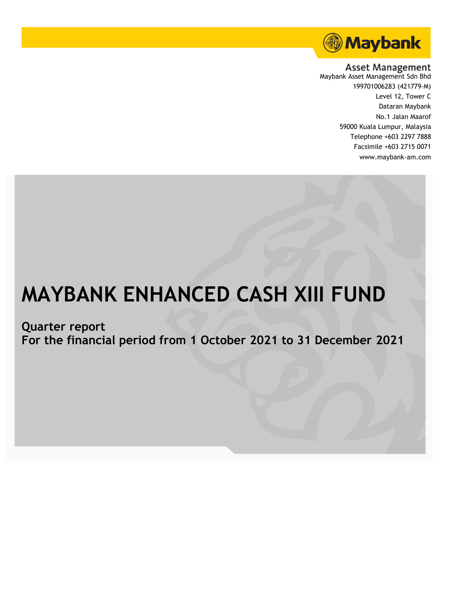

**Asset Management** 

Maybank Asset Management Sdn Bhd 199701006283 (421779-M) Level 12, Tower C Dataran Maybank No.1 Jalan Maarof 59000 Kuala Lumpur, Malaysia Telephone +603 2297 7888 Facsimile +603 2715 0071 www.maybank-am.com

# **MAYBANK ENHANCED CASH XIII FUND**

**Quarter report**

**For the financial period from 1 October 2021 to 31 December 2021**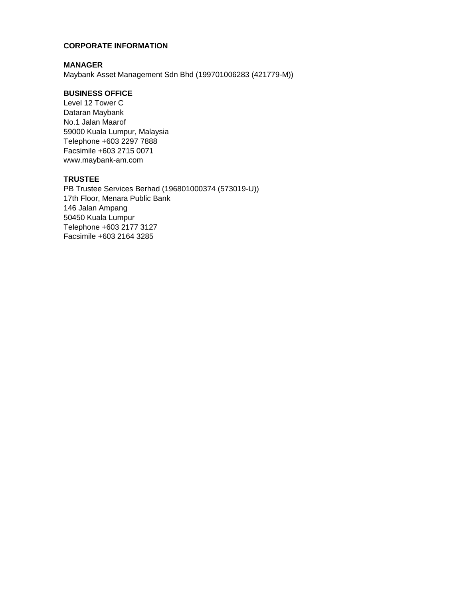## **CORPORATE INFORMATION**

## **MANAGER**

Maybank Asset Management Sdn Bhd (199701006283 (421779-M))

# **BUSINESS OFFICE**

Level 12 Tower C Dataran Maybank No.1 Jalan Maarof 59000 Kuala Lumpur, Malaysia Telephone +603 2297 7888 Facsimile +603 2715 0071 www.maybank-am.com

# **TRUSTEE**

PB Trustee Services Berhad (196801000374 (573019-U)) 17th Floor, Menara Public Bank 146 Jalan Ampang 50450 Kuala Lumpur Telephone +603 2177 3127 Facsimile +603 2164 3285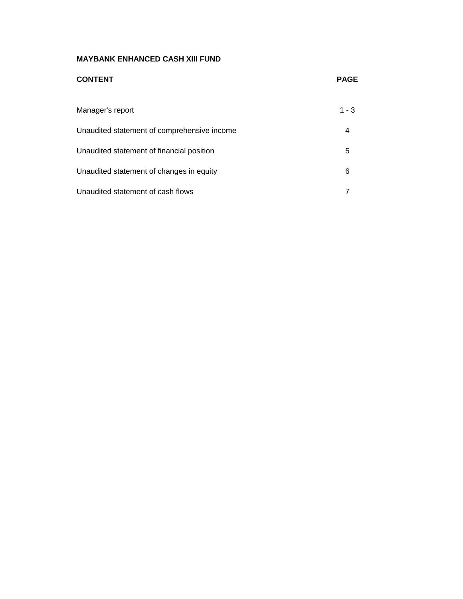| <b>CONTENT</b>                              | <b>PAGE</b> |
|---------------------------------------------|-------------|
| Manager's report                            | $1 - 3$     |
| Unaudited statement of comprehensive income | 4           |
| Unaudited statement of financial position   | 5           |
| Unaudited statement of changes in equity    | 6           |
| Unaudited statement of cash flows           |             |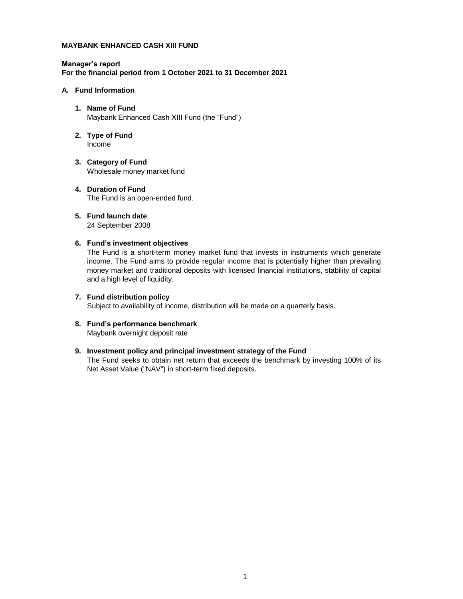#### **Manager's report For the financial period from 1 October 2021 to 31 December 2021**

#### **A. Fund Information**

- **1. Name of Fund** Maybank Enhanced Cash XIII Fund (the "Fund")
- **2. Type of Fund** Income
- **3. Category of Fund** Wholesale money market fund
- **4. Duration of Fund** The Fund is an open-ended fund.
- **5. Fund launch date** 24 September 2008

#### **6. Fund's investment objectives**

The Fund is a short-term money market fund that invests in instruments which generate income. The Fund aims to provide regular income that is potentially higher than prevailing money market and traditional deposits with licensed financial institutions, stability of capital and a high level of liquidity.

# **7. Fund distribution policy**

Subject to availability of income, distribution will be made on a quarterly basis.

**8. Fund's performance benchmark** Maybank overnight deposit rate

#### **9. Investment policy and principal investment strategy of the Fund**

The Fund seeks to obtain net return that exceeds the benchmark by investing 100% of its Net Asset Value ("NAV") in short-term fixed deposits.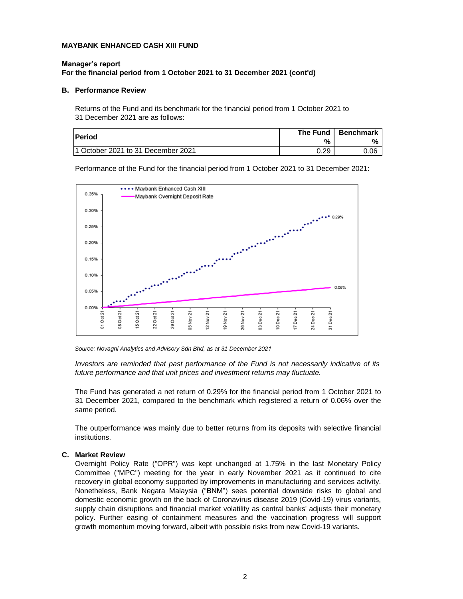## **Manager's report For the financial period from 1 October 2021 to 31 December 2021 (cont'd)**

#### **B. Performance Review**

Returns of the Fund and its benchmark for the financial period from 1 October 2021 to 31 December 2021 are as follows:

| <b>IPeriod</b>                      | The Fund | Benchmark |
|-------------------------------------|----------|-----------|
|                                     | %        | %         |
| 11 October 2021 to 31 December 2021 | ר ר      | 0.06      |

Performance of the Fund for the financial period from 1 October 2021 to 31 December 2021:



*Source: Novagni Analytics and Advisory Sdn Bhd, as at 31 December 2021*

*Investors are reminded that past performance of the Fund is not necessarily indicative of its future performance and that unit prices and investment returns may fluctuate.*

The Fund has generated a net return of 0.29% for the financial period from 1 October 2021 to 31 December 2021, compared to the benchmark which registered a return of 0.06% over the same period.

The outperformance was mainly due to better returns from its deposits with selective financial institutions.

#### **C. Market Review**

Overnight Policy Rate ("OPR") was kept unchanged at 1.75% in the last Monetary Policy Committee ("MPC") meeting for the year in early November 2021 as it continued to cite recovery in global economy supported by improvements in manufacturing and services activity. Nonetheless, Bank Negara Malaysia ("BNM") sees potential downside risks to global and domestic economic growth on the back of Coronavirus disease 2019 (Covid-19) virus variants, supply chain disruptions and financial market volatility as central banks' adjusts their monetary policy. Further easing of containment measures and the vaccination progress will support growth momentum moving forward, albeit with possible risks from new Covid-19 variants.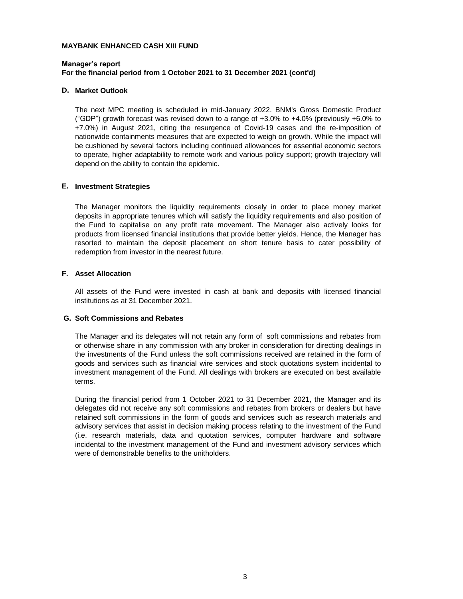## **Manager's report For the financial period from 1 October 2021 to 31 December 2021 (cont'd)**

#### **D. Market Outlook**

The next MPC meeting is scheduled in mid-January 2022. BNM's Gross Domestic Product ("GDP") growth forecast was revised down to a range of  $+3.0\%$  to  $+4.0\%$  (previously  $+6.0\%$  to +7.0%) in August 2021, citing the resurgence of Covid-19 cases and the re-imposition of nationwide containments measures that are expected to weigh on growth. While the impact will be cushioned by several factors including continued allowances for essential economic sectors to operate, higher adaptability to remote work and various policy support; growth trajectory will depend on the ability to contain the epidemic.

#### **E. Investment Strategies**

The Manager monitors the liquidity requirements closely in order to place money market deposits in appropriate tenures which will satisfy the liquidity requirements and also position of the Fund to capitalise on any profit rate movement. The Manager also actively looks for products from licensed financial institutions that provide better yields. Hence, the Manager has resorted to maintain the deposit placement on short tenure basis to cater possibility of redemption from investor in the nearest future.

#### **F. Asset Allocation**

All assets of the Fund were invested in cash at bank and deposits with licensed financial institutions as at 31 December 2021.

#### **G. Soft Commissions and Rebates**

The Manager and its delegates will not retain any form of soft commissions and rebates from or otherwise share in any commission with any broker in consideration for directing dealings in the investments of the Fund unless the soft commissions received are retained in the form of goods and services such as financial wire services and stock quotations system incidental to investment management of the Fund. All dealings with brokers are executed on best available terms.

During the financial period from 1 October 2021 to 31 December 2021, the Manager and its delegates did not receive any soft commissions and rebates from brokers or dealers but have retained soft commissions in the form of goods and services such as research materials and advisory services that assist in decision making process relating to the investment of the Fund (i.e. research materials, data and quotation services, computer hardware and software incidental to the investment management of the Fund and investment advisory services which were of demonstrable benefits to the unitholders.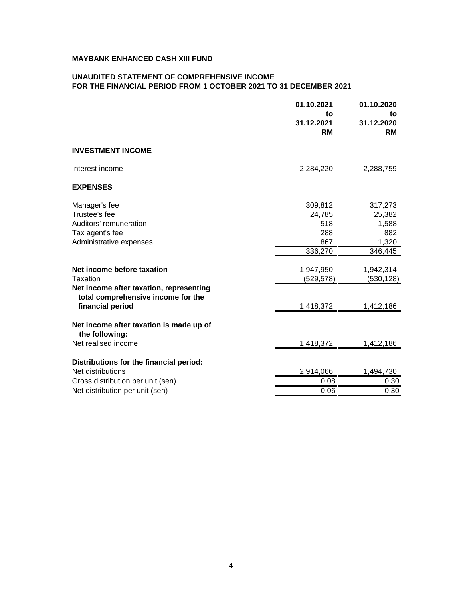## **UNAUDITED STATEMENT OF COMPREHENSIVE INCOME FOR THE FINANCIAL PERIOD FROM 1 OCTOBER 2021 TO 31 DECEMBER 2021**

| 01.10.2021<br>to<br>31.12.2021<br><b>RM</b>                                  | 01.10.2020<br>to<br>31.12.2020<br><b>RM</b>                                      |
|------------------------------------------------------------------------------|----------------------------------------------------------------------------------|
|                                                                              |                                                                                  |
| 2,284,220                                                                    | 2,288,759                                                                        |
|                                                                              |                                                                                  |
| 309,812<br>24,785<br>518<br>288<br>867<br>336,270<br>1,947,950<br>(529, 578) | 317,273<br>25,382<br>1,588<br>882<br>1,320<br>346,445<br>1,942,314<br>(530, 128) |
| 1,418,372                                                                    | 1,412,186                                                                        |
| 1,418,372                                                                    | 1,412,186                                                                        |
| 2,914,066<br>0.08                                                            | 1,494,730<br>0.30<br>0.30                                                        |
|                                                                              | 0.06                                                                             |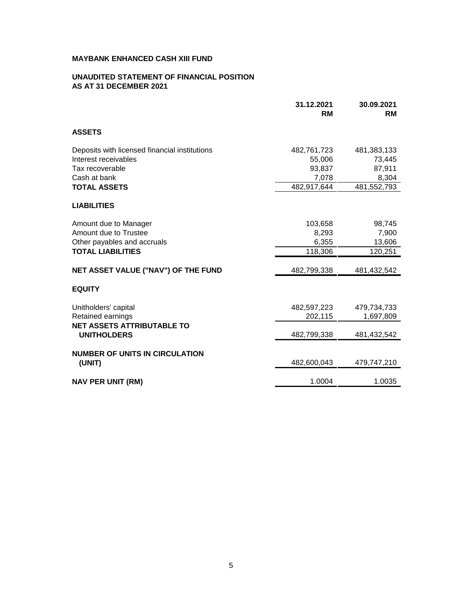## **UNAUDITED STATEMENT OF FINANCIAL POSITION AS AT 31 DECEMBER 2021**

|                                                                                                                                 | 31.12.2021<br><b>RM</b>                                 | 30.09.2021<br><b>RM</b>                                 |
|---------------------------------------------------------------------------------------------------------------------------------|---------------------------------------------------------|---------------------------------------------------------|
| <b>ASSETS</b>                                                                                                                   |                                                         |                                                         |
| Deposits with licensed financial institutions<br>Interest receivables<br>Tax recoverable<br>Cash at bank<br><b>TOTAL ASSETS</b> | 482,761,723<br>55,006<br>93,837<br>7,078<br>482,917,644 | 481,383,133<br>73,445<br>87,911<br>8,304<br>481,552,793 |
| <b>LIABILITIES</b>                                                                                                              |                                                         |                                                         |
| Amount due to Manager<br>Amount due to Trustee<br>Other payables and accruals<br><b>TOTAL LIABILITIES</b>                       | 103,658<br>8,293<br>6,355<br>118,306                    | 98,745<br>7,900<br>13,606<br>120,251                    |
| NET ASSET VALUE ("NAV") OF THE FUND                                                                                             | 482,799,338                                             | 481,432,542                                             |
| <b>EQUITY</b>                                                                                                                   |                                                         |                                                         |
| Unitholders' capital<br>Retained earnings<br><b>NET ASSETS ATTRIBUTABLE TO</b>                                                  | 482,597,223<br>202,115                                  | 479,734,733<br>1,697,809                                |
| <b>UNITHOLDERS</b>                                                                                                              | 482,799,338                                             | 481,432,542                                             |
| <b>NUMBER OF UNITS IN CIRCULATION</b><br>(UNIT)                                                                                 | 482,600,043                                             | 479,747,210                                             |
| <b>NAV PER UNIT (RM)</b>                                                                                                        | 1.0004                                                  | 1.0035                                                  |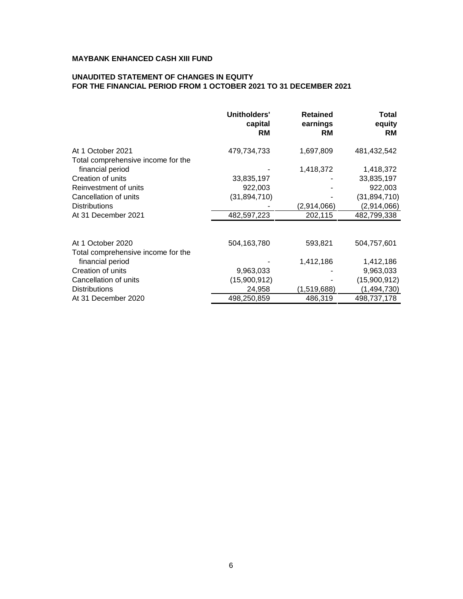## **UNAUDITED STATEMENT OF CHANGES IN EQUITY FOR THE FINANCIAL PERIOD FROM 1 OCTOBER 2021 TO 31 DECEMBER 2021**

|                                    | Unitholders'<br>capital<br><b>RM</b> | <b>Retained</b><br>earnings<br><b>RM</b> | Total<br>equity<br><b>RM</b> |
|------------------------------------|--------------------------------------|------------------------------------------|------------------------------|
| At 1 October 2021                  | 479,734,733                          | 1,697,809                                | 481,432,542                  |
| Total comprehensive income for the |                                      |                                          |                              |
| financial period                   |                                      | 1,418,372                                | 1,418,372                    |
| Creation of units                  | 33,835,197                           |                                          | 33,835,197                   |
| Reinvestment of units              | 922,003                              |                                          | 922,003                      |
| Cancellation of units              | (31, 894, 710)                       |                                          | (31, 894, 710)               |
| <b>Distributions</b>               |                                      | (2,914,066)                              | (2,914,066)                  |
| At 31 December 2021                | 482,597,223                          | 202,115                                  | 482,799,338                  |
|                                    |                                      |                                          |                              |
| At 1 October 2020                  | 504,163,780                          | 593,821                                  | 504,757,601                  |
| Total comprehensive income for the |                                      |                                          |                              |
| financial period                   |                                      | 1,412,186                                | 1,412,186                    |
| Creation of units                  | 9,963,033                            |                                          | 9,963,033                    |
| Cancellation of units              | (15,900,912)                         |                                          | (15,900,912)                 |
| <b>Distributions</b>               | 24,958                               | (1,519,688)                              | (1, 494, 730)                |
| At 31 December 2020                | 498,250,859                          | 486,319                                  | 498,737,178                  |